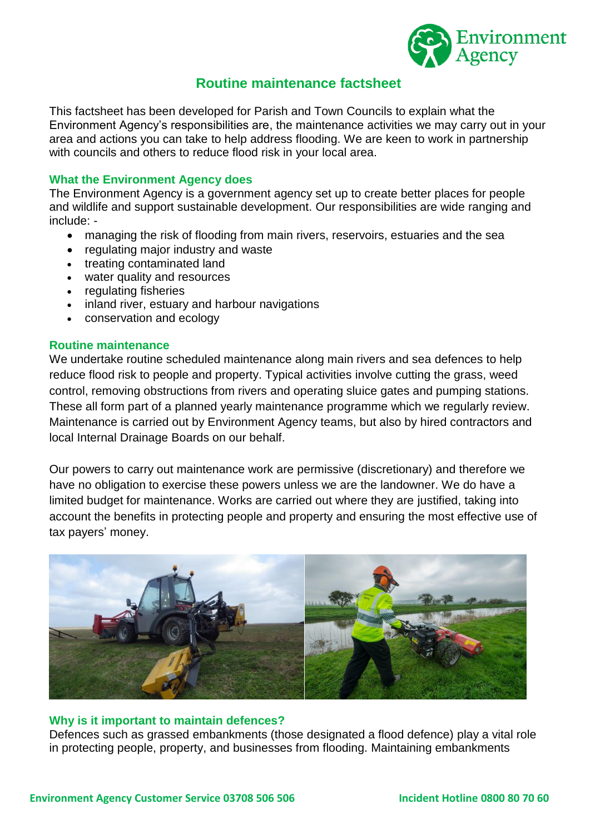

# **Routine maintenance factsheet**

This factsheet has been developed for Parish and Town Councils to explain what the Environment Agency's responsibilities are, the maintenance activities we may carry out in your area and actions you can take to help address flooding. We are keen to work in partnership with councils and others to reduce flood risk in your local area.

# **What the Environment Agency does**

The Environment Agency is a government agency set up to create better places for people and wildlife and support sustainable development. Our responsibilities are wide ranging and include: -

- managing the risk of flooding from main rivers, reservoirs, estuaries and the sea
- regulating major industry and waste
- treating contaminated land
- water quality and resources
- regulating fisheries
- inland river, estuary and harbour navigations
- conservation and ecology

## **Routine maintenance**

We undertake routine scheduled maintenance along main rivers and sea defences to help reduce flood risk to people and property. Typical activities involve cutting the grass, weed control, removing obstructions from rivers and operating sluice gates and pumping stations. These all form part of a planned yearly maintenance programme which we regularly review. Maintenance is carried out by Environment Agency teams, but also by hired contractors and local Internal Drainage Boards on our behalf.

Our powers to carry out maintenance work are permissive (discretionary) and therefore we have no obligation to exercise these powers unless we are the landowner. We do have a limited budget for maintenance. Works are carried out where they are justified, taking into account the benefits in protecting people and property and ensuring the most effective use of tax payers' money.



## **Why is it important to maintain defences?**

Defences such as grassed embankments (those designated a flood defence) play a vital role in protecting people, property, and businesses from flooding. Maintaining embankments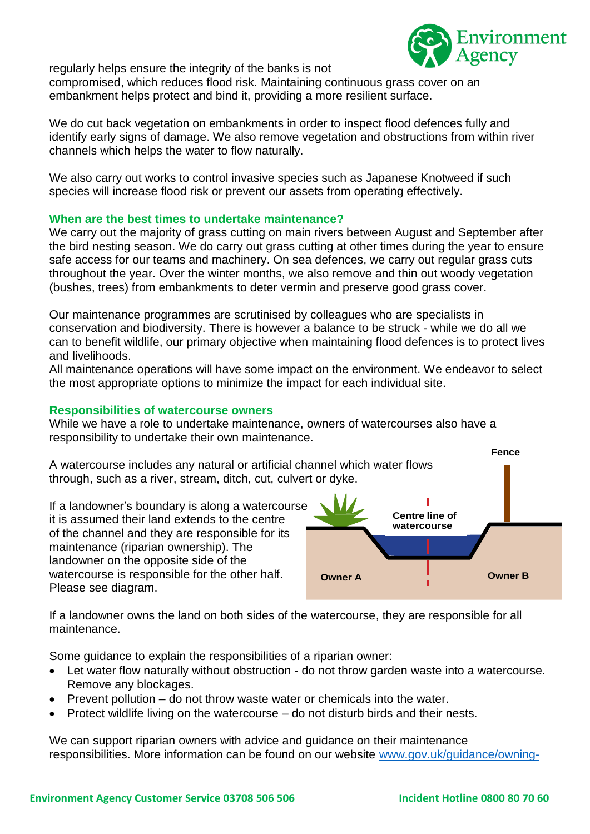regularly helps ensure the integrity of the banks is not



compromised, which reduces flood risk. Maintaining continuous grass cover on an embankment helps protect and bind it, providing a more resilient surface.

We do cut back vegetation on embankments in order to inspect flood defences fully and identify early signs of damage. We also remove vegetation and obstructions from within river channels which helps the water to flow naturally.

We also carry out works to control invasive species such as Japanese Knotweed if such species will increase flood risk or prevent our assets from operating effectively.

# **When are the best times to undertake maintenance?**

We carry out the majority of grass cutting on main rivers between August and September after the bird nesting season. We do carry out grass cutting at other times during the year to ensure safe access for our teams and machinery. On sea defences, we carry out regular grass cuts throughout the year. Over the winter months, we also remove and thin out woody vegetation (bushes, trees) from embankments to deter vermin and preserve good grass cover.

Our maintenance programmes are scrutinised by colleagues who are specialists in conservation and biodiversity. There is however a balance to be struck - while we do all we can to benefit wildlife, our primary objective when maintaining flood defences is to protect lives and livelihoods.

All maintenance operations will have some impact on the environment. We endeavor to select the most appropriate options to minimize the impact for each individual site.

# **Responsibilities of watercourse owners**

While we have a role to undertake maintenance, owners of watercourses also have a responsibility to undertake their own maintenance.



If a landowner owns the land on both sides of the watercourse, they are responsible for all maintenance.

Some guidance to explain the responsibilities of a riparian owner:

- Let water flow naturally without obstruction do not throw garden waste into a watercourse. Remove any blockages.
- Prevent pollution do not throw waste water or chemicals into the water.
- Protect wildlife living on the watercourse do not disturb birds and their nests.

We can support riparian owners with advice and guidance on their maintenance responsibilities. More information can be found on our website [www.gov.uk/guidance/owning-](http://www.gov.uk/guidance/owning-)